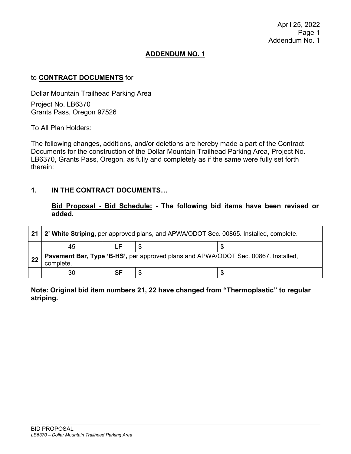## **ADDENDUM NO. 1**

### to **CONTRACT DOCUMENTS** for

Dollar Mountain Trailhead Parking Area

Project No. LB6370 Grants Pass, Oregon 97526

To All Plan Holders:

The following changes, additions, and/or deletions are hereby made a part of the Contract Documents for the construction of the Dollar Mountain Trailhead Parking Area, Project No. LB6370, Grants Pass, Oregon, as fully and completely as if the same were fully set forth therein:

### **1. IN THE CONTRACT DOCUMENTS…**

**Bid Proposal - Bid Schedule: - The following bid items have been revised or added.**

| 21 | 2' White Striping, per approved plans, and APWA/ODOT Sec. 00865. Installed, complete.           |    |   |  |  |
|----|-------------------------------------------------------------------------------------------------|----|---|--|--|
|    | 45                                                                                              |    |   |  |  |
| 22 | Pavement Bar, Type 'B-HS', per approved plans and APWA/ODOT Sec. 00867. Installed,<br>complete. |    |   |  |  |
|    | 30                                                                                              | SF | S |  |  |

#### **Note: Original bid item numbers 21, 22 have changed from "Thermoplastic" to regular striping.**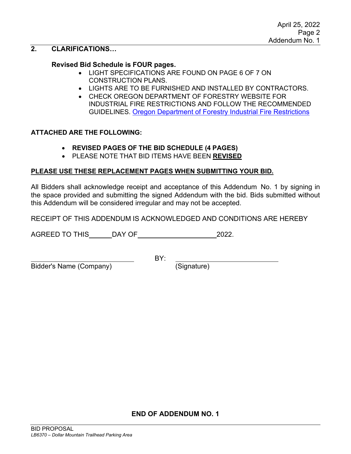# **2. CLARIFICATIONS…**

#### **Revised Bid Schedule is FOUR pages.**

- LIGHT SPECIFICATIONS ARE FOUND ON PAGE 6 OF 7 ON CONSTRUCTION PLANS.
- LIGHTS ARE TO BE FURNISHED AND INSTALLED BY CONTRACTORS.
- CHECK OREGON DEPARTMENT OF FORESTRY WEBSITE FOR INDUSTRIAL FIRE RESTRICTIONS AND FOLLOW THE RECOMMENDED GUIDELINES. [Oregon Department of Forestry Industrial Fire Restrictions](https://gisapps.odf.oregon.gov/firerestrictions/ifpl.html)

#### **ATTACHED ARE THE FOLLOWING:**

- **REVISED PAGES OF THE BID SCHEDULE (4 PAGES)**
- PLEASE NOTE THAT BID ITEMS HAVE BEEN **REVISED**

#### **PLEASE USE THESE REPLACEMENT PAGES WHEN SUBMITTING YOUR BID.**

All Bidders shall acknowledge receipt and acceptance of this Addendum No. 1 by signing in the space provided and submitting the signed Addendum with the bid. Bids submitted without this Addendum will be considered irregular and may not be accepted.

RECEIPT OF THIS ADDENDUM IS ACKNOWLEDGED AND CONDITIONS ARE HEREBY

AGREED TO THIS DAY OF 2022.

Bidder's Name (Company) (Signature)

BY:

**END OF ADDENDUM NO. 1**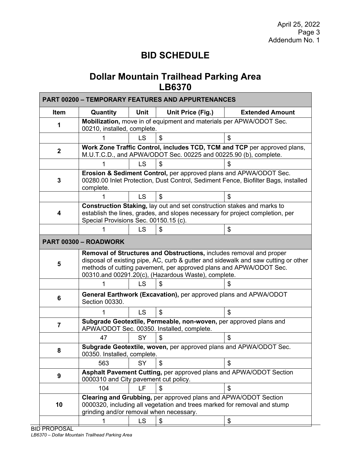# **BID SCHEDULE**

# **Dollar Mountain Trailhead Parking Area LB6370**

| <b>PART 00200 - TEMPORARY FEATURES AND APPURTENANCES</b> |                                                                                                                                                                                                                                                                                        |           |                   |                        |  |
|----------------------------------------------------------|----------------------------------------------------------------------------------------------------------------------------------------------------------------------------------------------------------------------------------------------------------------------------------------|-----------|-------------------|------------------------|--|
| Item                                                     | Quantity                                                                                                                                                                                                                                                                               | Unit      | Unit Price (Fig.) | <b>Extended Amount</b> |  |
| 1                                                        | Mobilization, move in of equipment and materials per APWA/ODOT Sec.<br>00210, installed, complete.                                                                                                                                                                                     |           |                   |                        |  |
|                                                          |                                                                                                                                                                                                                                                                                        | LS        | \$                | \$                     |  |
| $\mathbf{2}$                                             | Work Zone Traffic Control, includes TCD, TCM and TCP per approved plans,<br>M.U.T.C.D., and APWA/ODOT Sec. 00225 and 00225.90 (b), complete.                                                                                                                                           |           |                   |                        |  |
|                                                          |                                                                                                                                                                                                                                                                                        | LS        | \$                |                        |  |
| 3                                                        | Erosion & Sediment Control, per approved plans and APWA/ODOT Sec.<br>00280.00 Inlet Protection, Dust Control, Sediment Fence, Biofilter Bags, installed<br>complete.                                                                                                                   |           |                   |                        |  |
|                                                          |                                                                                                                                                                                                                                                                                        | <b>LS</b> | \$                | \$                     |  |
| 4                                                        | Construction Staking, lay out and set construction stakes and marks to<br>establish the lines, grades, and slopes necessary for project completion, per<br>Special Provisions Sec. 00150.15 (c).                                                                                       |           |                   |                        |  |
|                                                          |                                                                                                                                                                                                                                                                                        | <b>LS</b> | \$                | \$                     |  |
|                                                          | PART 00300 - ROADWORK                                                                                                                                                                                                                                                                  |           |                   |                        |  |
| 5                                                        | Removal of Structures and Obstructions, includes removal and proper<br>disposal of existing pipe, AC, curb & gutter and sidewalk and saw cutting or other<br>methods of cutting pavement, per approved plans and APWA/ODOT Sec.<br>00310.and 00291.20(c), (Hazardous Waste), complete. |           |                   |                        |  |
|                                                          |                                                                                                                                                                                                                                                                                        | LS        | S                 |                        |  |
| 6                                                        | General Earthwork (Excavation), per approved plans and APWA/ODOT<br>Section 00330.                                                                                                                                                                                                     |           |                   |                        |  |
|                                                          |                                                                                                                                                                                                                                                                                        | <b>LS</b> | \$                | \$                     |  |
| 7                                                        | Subgrade Geotextile, Permeable, non-woven, per approved plans and<br>APWA/ODOT Sec. 00350. Installed, complete.                                                                                                                                                                        |           |                   |                        |  |
|                                                          | 47                                                                                                                                                                                                                                                                                     | <b>SY</b> | S                 | \$                     |  |
| 8                                                        | Subgrade Geotextile, woven, per approved plans and APWA/ODOT Sec.<br>00350. Installed, complete.                                                                                                                                                                                       |           |                   |                        |  |
|                                                          | 563                                                                                                                                                                                                                                                                                    | SY        | \$                | \$                     |  |
| 9                                                        | Asphalt Pavement Cutting, per approved plans and APWA/ODOT Section<br>0000310 and City pavement cut policy.                                                                                                                                                                            |           |                   |                        |  |
|                                                          | 104                                                                                                                                                                                                                                                                                    | LF        | \$                | \$                     |  |
| 10                                                       | Clearing and Grubbing, per approved plans and APWA/ODOT Section<br>0000320, including all vegetation and trees marked for removal and stump<br>grinding and/or removal when necessary.                                                                                                 |           |                   |                        |  |
|                                                          | 1                                                                                                                                                                                                                                                                                      | LS        | \$                | \$                     |  |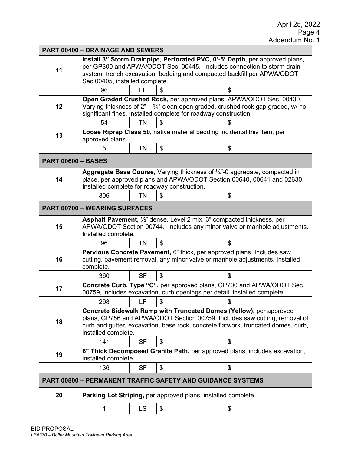| <b>PART 00400 - DRAINAGE AND SEWERS</b> |                                                                                                                                                                                                                                                                     |           |                                                                   |    |  |
|-----------------------------------------|---------------------------------------------------------------------------------------------------------------------------------------------------------------------------------------------------------------------------------------------------------------------|-----------|-------------------------------------------------------------------|----|--|
| 11                                      | Install 3" Storm Drainpipe, Perforated PVC, 0'-5' Depth, per approved plans,<br>per GP300 and APWA/ODOT Sec. 00445. Includes connection to storm drain<br>system, trench excavation, bedding and compacted backfill per APWA/ODOT<br>Sec.00405, installed complete. |           |                                                                   |    |  |
|                                         | 96                                                                                                                                                                                                                                                                  | LF        |                                                                   | \$ |  |
| 12                                      | Open Graded Crushed Rock, per approved plans, APWA/ODOT Sec. 00430.<br>Varying thickness of $2^n - \frac{3}{4}$ " clean open graded, crushed rock gap graded, w/ no<br>significant fines. Installed complete for roadway construction.                              |           |                                                                   |    |  |
|                                         | 54                                                                                                                                                                                                                                                                  | <b>TN</b> | \$                                                                | S  |  |
| 13                                      | Loose Riprap Class 50, native material bedding incidental this item, per<br>approved plans.                                                                                                                                                                         |           |                                                                   |    |  |
|                                         | 5                                                                                                                                                                                                                                                                   | TN        | \$                                                                | \$ |  |
| <b>PART 00600 - BASES</b>               |                                                                                                                                                                                                                                                                     |           |                                                                   |    |  |
| 14                                      | Aggregate Base Course, Varying thickness of 3/4"-0 aggregate, compacted in<br>place, per approved plans and APWA/ODOT Section 00640, 00641 and 02630.<br>Installed complete for roadway construction.                                                               |           |                                                                   |    |  |
|                                         | 306                                                                                                                                                                                                                                                                 | <b>TN</b> | \$                                                                | \$ |  |
|                                         | <b>PART 00700 - WEARING SURFACES</b>                                                                                                                                                                                                                                |           |                                                                   |    |  |
| 15                                      | Asphalt Pavement, 1/2" dense, Level 2 mix, 3" compacted thickness, per<br>APWA/ODOT Section 00744. Includes any minor valve or manhole adjustments.<br>Installed complete.                                                                                          |           |                                                                   |    |  |
|                                         | 96                                                                                                                                                                                                                                                                  | <b>TN</b> | \$                                                                | \$ |  |
| 16                                      | Pervious Concrete Pavement, 6" thick, per approved plans. Includes saw<br>cutting, pavement removal, any minor valve or manhole adjustments. Installed<br>complete.                                                                                                 |           |                                                                   |    |  |
|                                         | 360                                                                                                                                                                                                                                                                 | <b>SF</b> | \$                                                                | \$ |  |
| 17                                      | Concrete Curb, Type "C", per approved plans, GP700 and APWA/ODOT Sec.<br>00759, includes excavation, curb openings per detail, installed complete.                                                                                                                  |           |                                                                   |    |  |
|                                         | 298                                                                                                                                                                                                                                                                 | LF        | \$                                                                |    |  |
| 18                                      | Concrete Sidewalk Ramp with Truncated Domes (Yellow), per approved<br>plans, GP756 and APWA/ODOT Section 00759. Includes saw cutting, removal of<br>curb and gutter, excavation, base rock, concrete flatwork, truncated domes, curb,<br>installed complete.        |           |                                                                   |    |  |
|                                         | 141                                                                                                                                                                                                                                                                 | <b>SF</b> | \$                                                                | \$ |  |
| 19                                      | 6" Thick Decomposed Granite Path, per approved plans, includes excavation,<br>installed complete.                                                                                                                                                                   |           |                                                                   |    |  |
|                                         | 136                                                                                                                                                                                                                                                                 | <b>SF</b> | \$                                                                | \$ |  |
|                                         |                                                                                                                                                                                                                                                                     |           | <b>PART 00800 - PERMANENT TRAFFIC SAFETY AND GUIDANCE SYSTEMS</b> |    |  |
| 20                                      | Parking Lot Striping, per approved plans, installed complete.                                                                                                                                                                                                       |           |                                                                   |    |  |
|                                         | 1                                                                                                                                                                                                                                                                   | LS        | \$                                                                | \$ |  |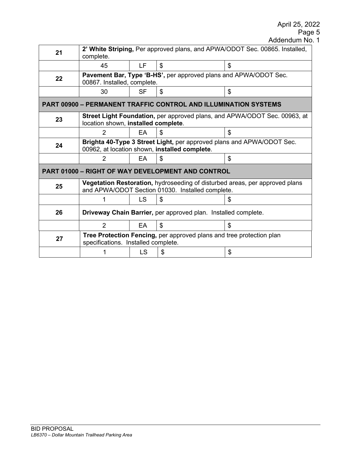## April 25, 2022

Page 5

| 21                                                                     | 2' White Striping, Per approved plans, and APWA/ODOT Sec. 00865. Installed,                                                     |           |    |    |  |  |  |
|------------------------------------------------------------------------|---------------------------------------------------------------------------------------------------------------------------------|-----------|----|----|--|--|--|
|                                                                        | complete.                                                                                                                       |           |    |    |  |  |  |
|                                                                        | 45                                                                                                                              | LF.       | \$ | \$ |  |  |  |
| 22                                                                     | Pavement Bar, Type 'B-HS', per approved plans and APWA/ODOT Sec.                                                                |           |    |    |  |  |  |
|                                                                        | 00867. Installed, complete.                                                                                                     |           |    |    |  |  |  |
|                                                                        | 30                                                                                                                              | SF        | \$ | \$ |  |  |  |
| <b>PART 00900 - PERMANENT TRAFFIC CONTROL AND ILLUMINATION SYSTEMS</b> |                                                                                                                                 |           |    |    |  |  |  |
| 23                                                                     | Street Light Foundation, per approved plans, and APWA/ODOT Sec. 00963, at<br>location shown, installed complete.                |           |    |    |  |  |  |
|                                                                        |                                                                                                                                 | EA.       | \$ | \$ |  |  |  |
| 24                                                                     | Brighta 40-Type 3 Street Light, per approved plans and APWA/ODOT Sec.<br>00962, at location shown, installed complete.          |           |    |    |  |  |  |
|                                                                        | 2                                                                                                                               | EA        | \$ | \$ |  |  |  |
| <b>PART 01000 - RIGHT OF WAY DEVELOPMENT AND CONTROL</b>               |                                                                                                                                 |           |    |    |  |  |  |
| 25                                                                     | Vegetation Restoration, hydroseeding of disturbed areas, per approved plans<br>and APWA/ODOT Section 01030. Installed complete. |           |    |    |  |  |  |
|                                                                        |                                                                                                                                 | <b>LS</b> | \$ | \$ |  |  |  |
| 26                                                                     | Driveway Chain Barrier, per approved plan. Installed complete.                                                                  |           |    |    |  |  |  |
|                                                                        | $\overline{2}$                                                                                                                  | EA        | \$ | \$ |  |  |  |
| 27                                                                     | Tree Protection Fencing, per approved plans and tree protection plan<br>specifications. Installed complete.                     |           |    |    |  |  |  |
|                                                                        |                                                                                                                                 | LS        | \$ | \$ |  |  |  |